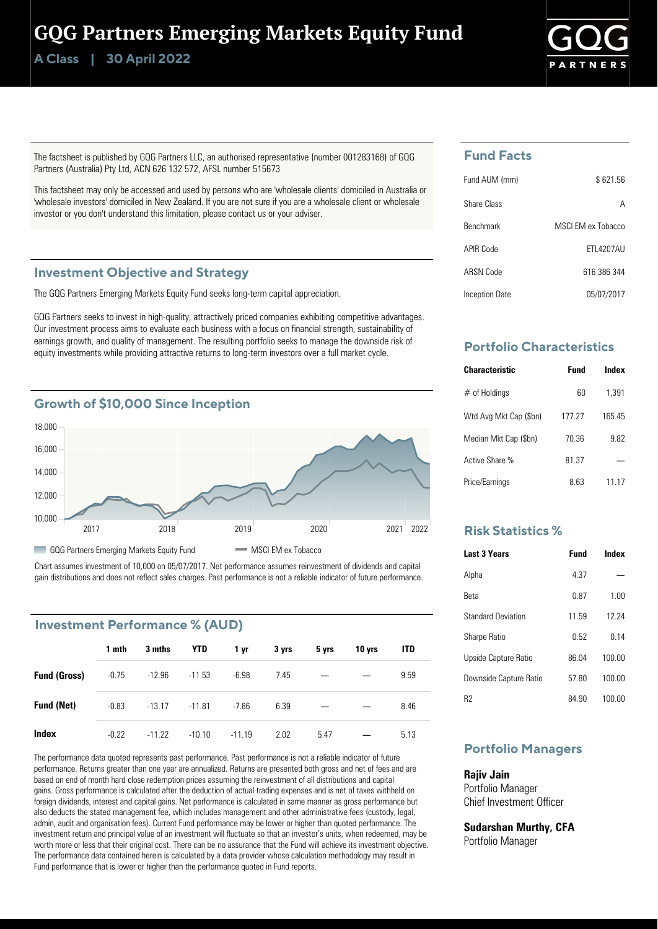# GQG Partners Emerging Markets Equity Fund

**Class | A 30 April 2022**



The factsheet is published by GQG Partners LLC, an authorised representative (number 001283168) of GQG Partners (Australia) Pty Ltd, ACN 626 132 572, AFSL number 515673

This factsheet may only be accessed and used by persons who are 'wholesale clients' domiciled in Australia or 'wholesale investors' domiciled in New Zealand. If you are not sure if you are a wholesale client or wholesale investor or you don't understand this limitation, please contact us or your adviser.

#### **Investment Objective and Strategy**

The GQG Partners Emerging Markets Equity Fund seeks long-term capital appreciation.

GQG Partners seeks to invest in high-quality, attractively priced companies exhibiting competitive advantages. Our investment process aims to evaluate each business with a focus on financial strength, sustainability of earnings growth, and quality of management. The resulting portfolio seeks to manage the downside risk of equity investments while providing attractive returns to long-term investors over a full market cycle.



Chart assumes investment of 10,000 on 05/07/2017. Net performance assumes reinvestment of dividends and capital gain distributions and does not reflect sales charges. Past performance is not a reliable indicator of future performance.

## **Investment Performance % (AUD)**

|                     | 1 mth   | 3 mths   | YTD      | 1 yr     | 3 yrs | 5 yrs | 10 yrs | <b>ITD</b> |  |
|---------------------|---------|----------|----------|----------|-------|-------|--------|------------|--|
| <b>Fund (Gross)</b> | $-0.75$ | $-12.96$ | $-11.53$ | $-6.98$  | 7.45  |       |        | 9.59       |  |
| <b>Fund (Net)</b>   | $-0.83$ | $-13.17$ | $-11.81$ | $-7.86$  | 6.39  |       |        | 8.46       |  |
| Index               | $-0.22$ | $-11.22$ | $-10.10$ | $-11.19$ | 2.02  | 5.47  |        | 5.13       |  |

The performance data quoted represents past performance. Past performance is not a reliable indicator of future performance. Returns greater than one year are annualized. Returns are presented both gross and net of fees and are based on end of month hard close redemption prices assuming the reinvestment of all distributions and capital gains. Gross performance is calculated after the deduction of actual trading expenses and is net of taxes withheld on foreign dividends, interest and capital gains. Net performance is calculated in same manner as gross performance but also deducts the stated management fee, which includes management and other administrative fees (custody, legal, admin, audit and organisation fees). Current Fund performance may be lower or higher than quoted performance. The investment return and principal value of an investment will fluctuate so that an investor's units, when redeemed, may be worth more or less that their original cost. There can be no assurance that the Fund will achieve its investment objective. The performance data contained herein is calculated by a data provider whose calculation methodology may result in Fund performance that is lower or higher than the performance quoted in Fund reports.

## **Fund Facts**

| Fund AUM (mm)    | \$621.56          |
|------------------|-------------------|
| Share Class      | А                 |
| <b>Benchmark</b> | MSCLEM ex Tobacco |
| APIR Code        | <b>FTI 4207AU</b> |
| ARSN Code        | 616 386 344       |
| Inception Date   | 05/07/2017        |

## **Portfolio Characteristics**

| <b>Characteristic</b>  | Fund   | Index |
|------------------------|--------|-------|
| $#$ of Holdings        | 60     | 1.391 |
| Wtd Avg Mkt Cap (\$bn) | 177 27 | 16545 |
| Median Mkt Cap (\$bn)  | 70.36  | 9.82  |
| Active Share %         | 81.37  |       |
| Price/Earnings         | 8 63   | 11.17 |

## **Risk Statistics %**

| <b>Last 3 Years</b>       | Fund  | Index  |
|---------------------------|-------|--------|
| Alpha                     | 4 37  |        |
| Reta                      | 0.87  | 1.00   |
| <b>Standard Deviation</b> | 1159  | 12 24  |
| <b>Sharpe Ratio</b>       | 0.52  | 0 14   |
| Upside Capture Ratio      | 86.04 | 100.00 |
| Downside Capture Ratio    | 5780  | 100.00 |
| R2                        | 84 90 | 100.00 |

## **Portfolio Managers**

#### **Rajiv Jain**

Portfolio Manager Chief Investment Officer

**Sudarshan Murthy, CFA** Portfolio Manager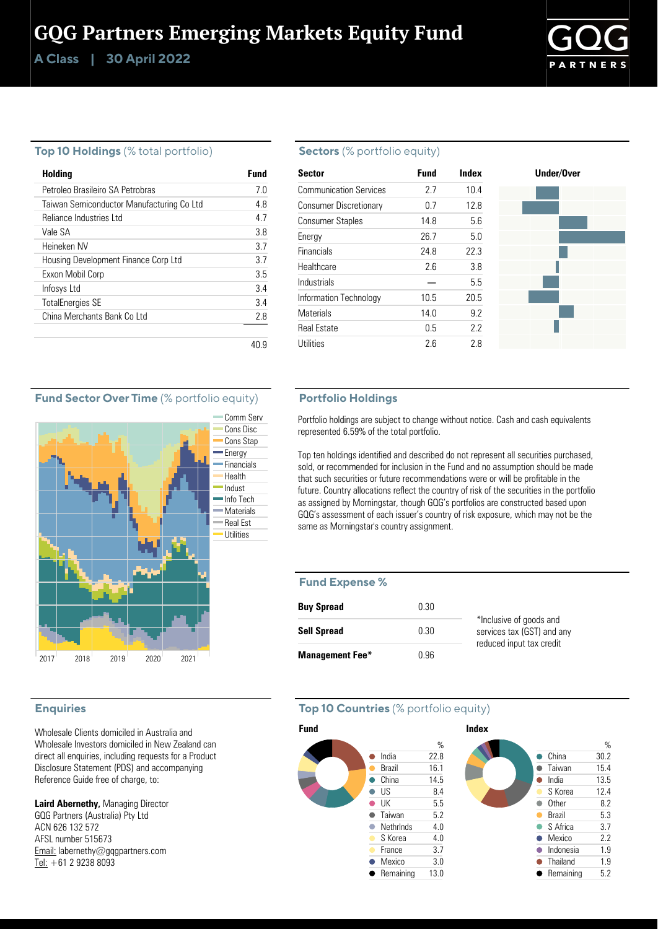**Class | A 30 April 2022**



#### **Top 10 Holdings** (% total portfolio)

| <b>Holding</b>                            | Fund |
|-------------------------------------------|------|
| Petroleo Brasileiro SA Petrobras          | 70   |
| Taiwan Semiconductor Manufacturing Co Ltd | 48   |
| Reliance Industries I td                  | 47   |
| Vale SA                                   | 38   |
| Heineken NV                               | 37   |
| Housing Development Finance Corp Ltd      | 37   |
| Exxon Mobil Corp                          | 3.5  |
| Infosys Ltd                               | 34   |
| <b>TotalEnergies SE</b>                   | 34   |
| China Merchants Bank Coltd                | 28   |
|                                           |      |
|                                           | 40 Y |

### **Sectors** (% portfolio equity)

| <b>Sector</b>                 | Fund | Index |
|-------------------------------|------|-------|
| <b>Communication Services</b> | 27   | 10.4  |
| Consumer Discretionary        | 0.7  | 12.8  |
| <b>Consumer Staples</b>       | 14.8 | 56    |
| Energy                        | 26.7 | 5.0   |
| Financials                    | 24 8 | 22 3  |
| Healthcare                    | 26   | 38    |
| Industrials                   |      | 5.5   |
| Information Technology        | 10.5 | 20.5  |
| <b>Materials</b>              | 14.0 | 92    |
| <b>Real Estate</b>            | 0.5  | 22    |
| Utilities                     | 2.6  | 28    |



### **Fund Sector Over Time** (% portfolio equity)



### **Enquiries**

Wholesale Clients domiciled in Australia and Wholesale Investors domiciled in New Zealand can direct all enquiries, including requests for a Product Disclosure Statement (PDS) and accompanying Reference Guide free of charge, to:

**Laird Abernethy,** Managing Director GQG Partners (Australia) Pty Ltd ACN 626 132 572 AFSL number 515673 Email: labernethy@gqgpartners.com Tel: +61 2 9238 8093

#### **Portfolio Holdings**

Portfolio holdings are subject to change without notice. Cash and cash equivalents represented 6.59% of the total portfolio.

Top ten holdings identified and described do not represent all securities purchased, sold, or recommended for inclusion in the Fund and no assumption should be made that such securities or future recommendations were or will be profitable in the future. Country allocations reflect the country of risk of the securities in the portfolio as assigned by Morningstar, though GQG's portfolios are constructed based upon GQG's assessment of each issuer's country of risk exposure, which may not be the same as Morningstar's country assignment.

#### **Fund Expense %**

| <b>Buy Spread</b>      | 0.30 |                                                       |
|------------------------|------|-------------------------------------------------------|
| <b>Sell Spread</b>     | 0.30 | *Inclusive of goods and<br>services tax (GST) and any |
| <b>Management Fee*</b> | በ 96 | reduced input tax credit                              |

### **Top 10 Countries** (% portfolio equity)